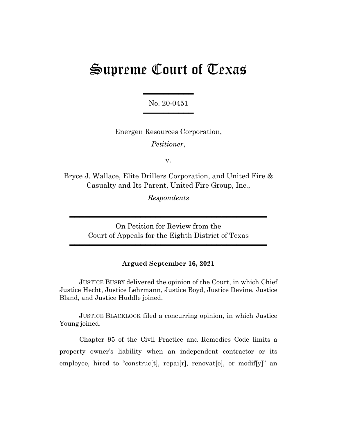# Supreme Court of Texas

══════════════════════ No. 20-0451 ════════════════════

Energen Resources Corporation, *Petitioner*,

v.

Bryce J. Wallace, Elite Drillers Corporation, and United Fire & Casualty and Its Parent, United Fire Group, Inc.,

*Respondents*

On Petition for Review from the Court of Appeals for the Eighth District of Texas

═══════════════════════════════════════

═══════════════════════════════════════

# **Argued September 16, 2021**

JUSTICE BUSBY delivered the opinion of the Court, in which Chief Justice Hecht, Justice Lehrmann, Justice Boyd, Justice Devine, Justice Bland, and Justice Huddle joined.

JUSTICE BLACKLOCK filed a concurring opinion, in which Justice Young joined.

Chapter 95 of the Civil Practice and Remedies Code limits a property owner's liability when an independent contractor or its employee, hired to "construc[t], repai[r], renovat[e], or modif[y]" an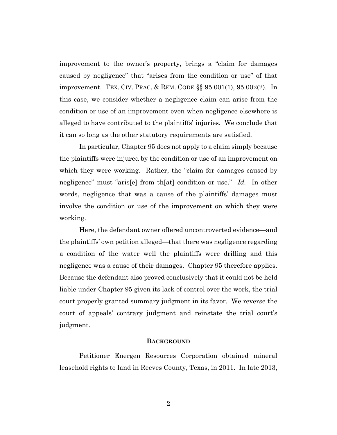improvement to the owner's property, brings a "claim for damages caused by negligence" that "arises from the condition or use" of that improvement. TEX. CIV. PRAC. & REM. CODE §§ 95.001(1), 95.002(2). In this case, we consider whether a negligence claim can arise from the condition or use of an improvement even when negligence elsewhere is alleged to have contributed to the plaintiffs' injuries. We conclude that it can so long as the other statutory requirements are satisfied.

In particular, Chapter 95 does not apply to a claim simply because the plaintiffs were injured by the condition or use of an improvement on which they were working. Rather, the "claim for damages caused by negligence" must "aris[e] from th[at] condition or use." *Id.* In other words, negligence that was a cause of the plaintiffs' damages must involve the condition or use of the improvement on which they were working.

Here, the defendant owner offered uncontroverted evidence—and the plaintiffs' own petition alleged—that there was negligence regarding a condition of the water well the plaintiffs were drilling and this negligence was a cause of their damages. Chapter 95 therefore applies. Because the defendant also proved conclusively that it could not be held liable under Chapter 95 given its lack of control over the work, the trial court properly granted summary judgment in its favor. We reverse the court of appeals' contrary judgment and reinstate the trial court's judgment.

## **BACKGROUND**

Petitioner Energen Resources Corporation obtained mineral leasehold rights to land in Reeves County, Texas, in 2011. In late 2013,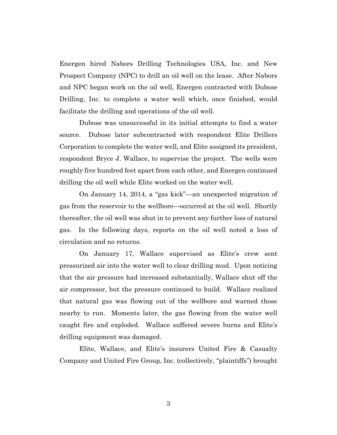Energen hired Nabors Drilling Technologies USA, Inc. and New Prospect Company (NPC) to drill an oil well on the lease. After Nabors and NPC began work on the oil well, Energen contracted with Dubose Drilling, Inc. to complete a water well which, once finished, would facilitate the drilling and operations of the oil well.

Dubose was unsuccessful in its initial attempts to find a water source. Dubose later subcontracted with respondent Elite Drillers Corporation to complete the water well, and Elite assigned its president, respondent Bryce J. Wallace, to supervise the project. The wells were roughly five hundred feet apart from each other, and Energen continued drilling the oil well while Elite worked on the water well.

On January 14, 2014, a "gas kick"—an unexpected migration of gas from the reservoir to the wellbore—occurred at the oil well. Shortly thereafter, the oil well was shut in to prevent any further loss of natural gas. In the following days, reports on the oil well noted a loss of circulation and no returns.

On January 17, Wallace supervised as Elite's crew sent pressurized air into the water well to clear drilling mud. Upon noticing that the air pressure had increased substantially, Wallace shut off the air compressor, but the pressure continued to build. Wallace realized that natural gas was flowing out of the wellbore and warned those nearby to run. Moments later, the gas flowing from the water well caught fire and exploded. Wallace suffered severe burns and Elite's drilling equipment was damaged.

Elite, Wallace, and Elite's insurers United Fire & Casualty Company and United Fire Group, Inc. (collectively, "plaintiffs") brought

3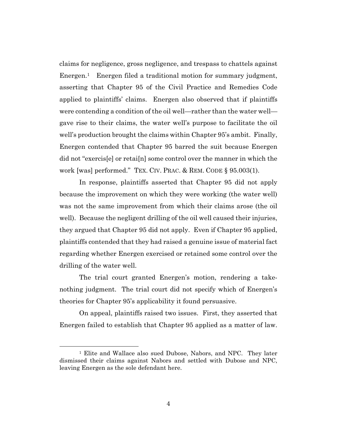claims for negligence, gross negligence, and trespass to chattels against Energen.<sup>1</sup> Energen filed a traditional motion for summary judgment, asserting that Chapter 95 of the Civil Practice and Remedies Code applied to plaintiffs' claims. Energen also observed that if plaintiffs were contending a condition of the oil well—rather than the water well gave rise to their claims, the water well's purpose to facilitate the oil well's production brought the claims within Chapter 95's ambit. Finally, Energen contended that Chapter 95 barred the suit because Energen did not "exercis[e] or retai[n] some control over the manner in which the work [was] performed." TEX. CIV. PRAC. & REM. CODE § 95.003(1).

In response, plaintiffs asserted that Chapter 95 did not apply because the improvement on which they were working (the water well) was not the same improvement from which their claims arose (the oil well). Because the negligent drilling of the oil well caused their injuries, they argued that Chapter 95 did not apply. Even if Chapter 95 applied, plaintiffs contended that they had raised a genuine issue of material fact regarding whether Energen exercised or retained some control over the drilling of the water well.

The trial court granted Energen's motion, rendering a takenothing judgment. The trial court did not specify which of Energen's theories for Chapter 95's applicability it found persuasive.

On appeal, plaintiffs raised two issues. First, they asserted that Energen failed to establish that Chapter 95 applied as a matter of law.

<sup>1</sup> Elite and Wallace also sued Dubose, Nabors, and NPC. They later dismissed their claims against Nabors and settled with Dubose and NPC, leaving Energen as the sole defendant here.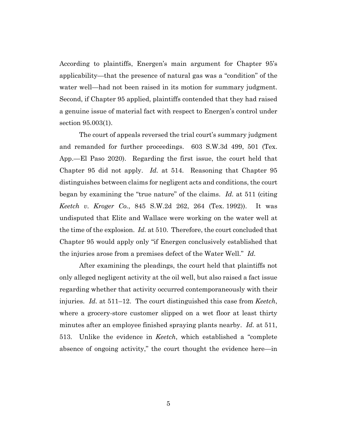According to plaintiffs, Energen's main argument for Chapter 95's applicability—that the presence of natural gas was a "condition" of the water well—had not been raised in its motion for summary judgment. Second, if Chapter 95 applied, plaintiffs contended that they had raised a genuine issue of material fact with respect to Energen's control under section 95.003(1).

The court of appeals reversed the trial court's summary judgment and remanded for further proceedings. 603 S.W.3d 499, 501 (Tex. App.—El Paso 2020). Regarding the first issue, the court held that Chapter 95 did not apply. *Id.* at 514. Reasoning that Chapter 95 distinguishes between claims for negligent acts and conditions, the court began by examining the "true nature" of the claims. *Id.* at 511 (citing *Keetch v. Kroger Co.*, 845 S.W.2d 262, 264 (Tex. 1992)). It was undisputed that Elite and Wallace were working on the water well at the time of the explosion. *Id.* at 510. Therefore, the court concluded that Chapter 95 would apply only "if Energen conclusively established that the injuries arose from a premises defect of the Water Well." *Id.*

After examining the pleadings, the court held that plaintiffs not only alleged negligent activity at the oil well, but also raised a fact issue regarding whether that activity occurred contemporaneously with their injuries. *Id.* at 511–12. The court distinguished this case from *Keetch*, where a grocery-store customer slipped on a wet floor at least thirty minutes after an employee finished spraying plants nearby. *Id.* at 511, 513. Unlike the evidence in *Keetch*, which established a "complete absence of ongoing activity," the court thought the evidence here—in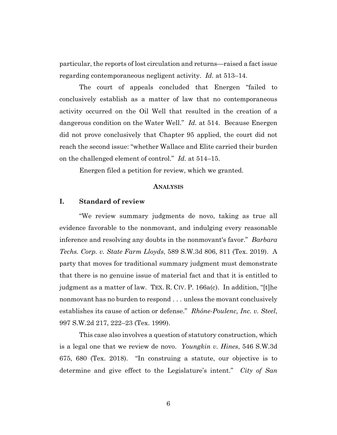particular, the reports of lost circulation and returns—raised a fact issue regarding contemporaneous negligent activity. *Id.* at 513–14.

The court of appeals concluded that Energen "failed to conclusively establish as a matter of law that no contemporaneous activity occurred on the Oil Well that resulted in the creation of a dangerous condition on the Water Well." *Id.* at 514. Because Energen did not prove conclusively that Chapter 95 applied, the court did not reach the second issue: "whether Wallace and Elite carried their burden on the challenged element of control." *Id.* at 514–15.

Energen filed a petition for review, which we granted.

### **ANALYSIS**

## **I. Standard of review**

"We review summary judgments de novo, taking as true all evidence favorable to the nonmovant, and indulging every reasonable inference and resolving any doubts in the nonmovant's favor." *Barbara Techs. Corp. v. State Farm Lloyds*, 589 S.W.3d 806, 811 (Tex. 2019). A party that moves for traditional summary judgment must demonstrate that there is no genuine issue of material fact and that it is entitled to judgment as a matter of law. TEX. R. CIV. P. 166a(c). In addition, "[t]he nonmovant has no burden to respond . . . unless the movant conclusively establishes its cause of action or defense." *Rhône-Poulenc, Inc. v. Steel*, 997 S.W.2d 217, 222–23 (Tex. 1999).

This case also involves a question of statutory construction, which is a legal one that we review de novo. *Youngkin v. Hines*, 546 S.W.3d 675, 680 (Tex. 2018). "In construing a statute, our objective is to determine and give effect to the Legislature's intent." *City of San*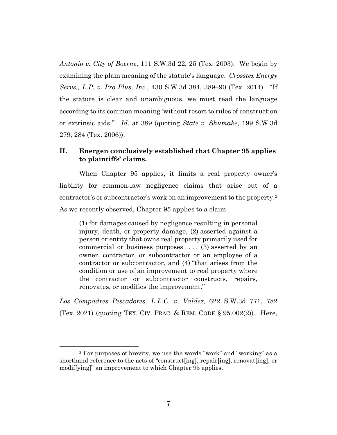*Antonio v. City of Boerne*, 111 S.W.3d 22, 25 (Tex. 2003). We begin by examining the plain meaning of the statute's language. *Crosstex Energy Servs., L.P. v. Pro Plus, Inc.*, 430 S.W.3d 384, 389–90 (Tex. 2014). "If the statute is clear and unambiguous, we must read the language according to its common meaning 'without resort to rules of construction or extrinsic aids.'" *Id.* at 389 (quoting *State v. Shumake*, 199 S.W.3d 279, 284 (Tex. 2006)).

## **II. Energen conclusively established that Chapter 95 applies to plaintiffs' claims.**

When Chapter 95 applies, it limits a real property owner's liability for common-law negligence claims that arise out of a contractor's or subcontractor's work on an improvement to the property.2 As we recently observed, Chapter 95 applies to a claim

(1) for damages caused by negligence resulting in personal injury, death, or property damage, (2) asserted against a person or entity that owns real property primarily used for commercial or business purposes . . . , (3) asserted by an owner, contractor, or subcontractor or an employee of a contractor or subcontractor, and (4) "that arises from the condition or use of an improvement to real property where the contractor or subcontractor constructs, repairs, renovates, or modifies the improvement."

*Los Compadres Pescadores, L.L.C. v. Valdez*, 622 S.W.3d 771, 782 (Tex. 2021) (quoting TEX. CIV. PRAC. & REM. CODE § 95.002(2)). Here,

<sup>2</sup> For purposes of brevity, we use the words "work" and "working" as a shorthand reference to the acts of "construct[ing], repair[ing], renovat[ing], or modif[ying]" an improvement to which Chapter 95 applies.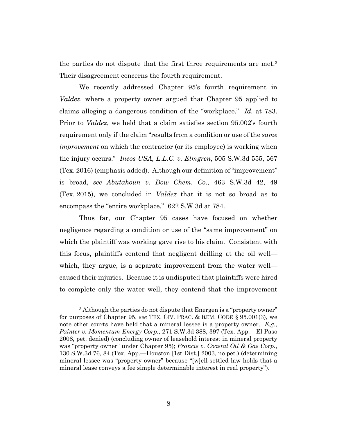the parties do not dispute that the first three requirements are met.3 Their disagreement concerns the fourth requirement.

We recently addressed Chapter 95's fourth requirement in *Valdez*, where a property owner argued that Chapter 95 applied to claims alleging a dangerous condition of the "workplace." *Id.* at 783. Prior to *Valdez*, we held that a claim satisfies section 95.002's fourth requirement only if the claim "results from a condition or use of the *same improvement* on which the contractor (or its employee) is working when the injury occurs." *Ineos USA, L.L.C. v. Elmgren*, 505 S.W.3d 555, 567 (Tex. 2016) (emphasis added). Although our definition of "improvement" is broad, *see Abutahoun v. Dow Chem. Co.*, 463 S.W.3d 42, 49 (Tex. 2015), we concluded in *Valdez* that it is not so broad as to encompass the "entire workplace." 622 S.W.3d at 784.

Thus far, our Chapter 95 cases have focused on whether negligence regarding a condition or use of the "same improvement" on which the plaintiff was working gave rise to his claim. Consistent with this focus, plaintiffs contend that negligent drilling at the oil well which, they argue, is a separate improvement from the water well caused their injuries. Because it is undisputed that plaintiffs were hired to complete only the water well, they contend that the improvement

<sup>&</sup>lt;sup>3</sup> Although the parties do not dispute that Energen is a "property owner" for purposes of Chapter 95, *see* TEX. CIV. PRAC. & REM. CODE § 95.001(3), we note other courts have held that a mineral lessee is a property owner. *E.g.*, *Painter v. Momentum Energy Corp.*, 271 S.W.3d 388, 397 (Tex. App.—El Paso 2008, pet. denied) (concluding owner of leasehold interest in mineral property was "property owner" under Chapter 95); *Francis v. Coastal Oil & Gas Corp.*, 130 S.W.3d 76, 84 (Tex. App.—Houston [1st Dist.] 2003, no pet.) (determining mineral lessee was "property owner" because "[w]ell-settled law holds that a mineral lease conveys a fee simple determinable interest in real property").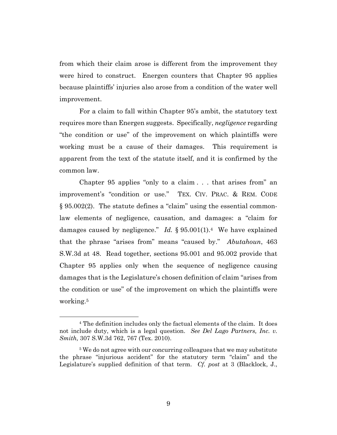from which their claim arose is different from the improvement they were hired to construct. Energen counters that Chapter 95 applies because plaintiffs' injuries also arose from a condition of the water well improvement.

For a claim to fall within Chapter 95's ambit, the statutory text requires more than Energen suggests. Specifically, *negligence* regarding "the condition or use" of the improvement on which plaintiffs were working must be a cause of their damages. This requirement is apparent from the text of the statute itself, and it is confirmed by the common law.

Chapter 95 applies "only to a claim . . . that arises from" an improvement's "condition or use." TEX. CIV. PRAC. & REM. CODE § 95.002(2). The statute defines a "claim" using the essential commonlaw elements of negligence, causation, and damages: a "claim for damages caused by negligence." *Id.* § 95.001(1).4 We have explained that the phrase "arises from" means "caused by." *Abutahoun*, 463 S.W.3d at 48. Read together, sections 95.001 and 95.002 provide that Chapter 95 applies only when the sequence of negligence causing damages that is the Legislature's chosen definition of claim "arises from the condition or use" of the improvement on which the plaintiffs were working.5

<sup>4</sup> The definition includes only the factual elements of the claim. It does not include duty, which is a legal question. *See Del Lago Partners, Inc. v. Smith,* 307 S.W.3d 762, 767 (Tex. 2010).

<sup>&</sup>lt;sup>5</sup>We do not agree with our concurring colleagues that we may substitute the phrase "injurious accident" for the statutory term "claim" and the Legislature's supplied definition of that term. *Cf. post* at 3 (Blacklock, J.,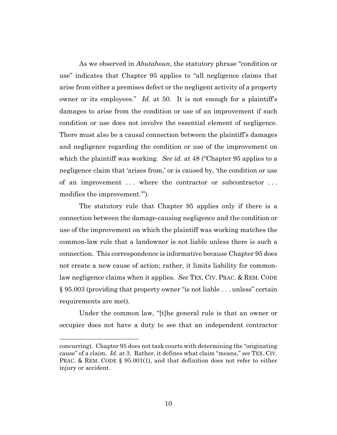As we observed in *Abutahoun*, the statutory phrase "condition or use" indicates that Chapter 95 applies to "all negligence claims that arise from either a premises defect or the negligent activity of a property owner or its employees." *Id.* at 50. It is not enough for a plaintiff's damages to arise from the condition or use of an improvement if such condition or use does not involve the essential element of negligence. There must also be a causal connection between the plaintiff's damages and negligence regarding the condition or use of the improvement on which the plaintiff was working. *See id.* at 48 ("Chapter 95 applies to a negligence claim that 'arises from,' or is caused by, 'the condition or use of an improvement . . . where the contractor or subcontractor . . . modifies the improvement.'").

The statutory rule that Chapter 95 applies only if there is a connection between the damage-causing negligence and the condition or use of the improvement on which the plaintiff was working matches the common-law rule that a landowner is not liable unless there is such a connection. This correspondence is informative because Chapter 95 does not create a new cause of action; rather, it limits liability for commonlaw negligence claims when it applies. *See* TEX. CIV. PRAC. & REM. CODE § 95.003 (providing that property owner "is not liable . . . unless" certain requirements are met).

Under the common law, "[t]he general rule is that an owner or occupier does not have a duty to see that an independent contractor

concurring). Chapter 95 does not task courts with determining the "originating cause" of a claim. *Id.* at 3. Rather, it defines what claim "means," *see* TEX. CIV. PRAC. & REM. CODE § 95.001(1), and that definition does not refer to either injury or accident.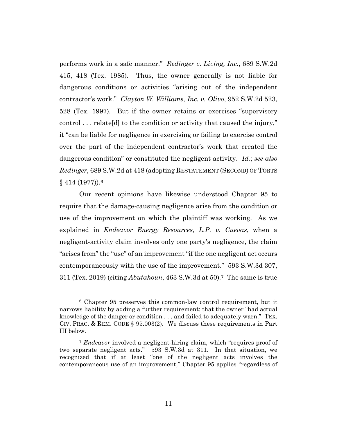performs work in a safe manner." *Redinger v. Living, Inc.*, 689 S.W.2d 415, 418 (Tex. 1985). Thus, the owner generally is not liable for dangerous conditions or activities "arising out of the independent contractor's work." *Clayton W. Williams, Inc. v. Olivo*, 952 S.W.2d 523, 528 (Tex. 1997). But if the owner retains or exercises "supervisory control . . . relate[d] to the condition or activity that caused the injury," it "can be liable for negligence in exercising or failing to exercise control over the part of the independent contractor's work that created the dangerous condition" or constituted the negligent activity. *Id.*; *see also Redinger*, 689 S.W.2d at 418 (adopting RESTATEMENT (SECOND) OF TORTS § 414 (1977)).6

Our recent opinions have likewise understood Chapter 95 to require that the damage-causing negligence arise from the condition or use of the improvement on which the plaintiff was working. As we explained in *Endeavor Energy Resources, L.P. v. Cuevas*, when a negligent-activity claim involves only one party's negligence, the claim "arises from" the "use" of an improvement "if the one negligent act occurs contemporaneously with the use of the improvement." 593 S.W.3d 307, 311 (Tex. 2019) (citing *Abutahoun*, 463 S.W.3d at 50)*.*<sup>7</sup> The same is true

<sup>6</sup> Chapter 95 preserves this common-law control requirement, but it narrows liability by adding a further requirement: that the owner "had actual knowledge of the danger or condition . . . and failed to adequately warn." TEX. CIV. PRAC. & REM. CODE § 95.003(2). We discuss these requirements in Part III below.

<sup>7</sup> *Endeavor* involved a negligent-hiring claim, which "requires proof of two separate negligent acts." 593 S.W.3d at 311. In that situation, we recognized that if at least "one of the negligent acts involves the contemporaneous use of an improvement," Chapter 95 applies "regardless of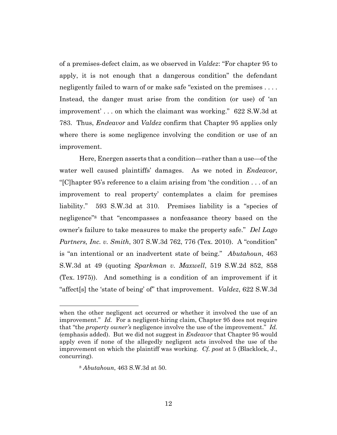of a premises-defect claim, as we observed in *Valdez*: "For chapter 95 to apply, it is not enough that a dangerous condition" the defendant negligently failed to warn of or make safe "existed on the premises . . . . Instead, the danger must arise from the condition (or use) of 'an improvement' . . . on which the claimant was working." 622 S.W.3d at 783. Thus, *Endeavor* and *Valdez* confirm that Chapter 95 applies only where there is some negligence involving the condition or use of an improvement.

Here, Energen asserts that a condition—rather than a use—of the water well caused plaintiffs' damages. As we noted in *Endeavor*, "[C]hapter 95's reference to a claim arising from 'the condition . . . of an improvement to real property' contemplates a claim for premises liability." 593 S.W.3d at 310. Premises liability is a "species of negligence"8 that "encompasses a nonfeasance theory based on the owner's failure to take measures to make the property safe." *Del Lago Partners, Inc. v. Smith*, 307 S.W.3d 762, 776 (Tex. 2010). A "condition" is "an intentional or an inadvertent state of being." *Abutahoun*, 463 S.W.3d at 49 (quoting *Sparkman v. Maxwell*, 519 S.W.2d 852, 858 (Tex. 1975)). And something is a condition of an improvement if it "affect[s] the 'state of being' of" that improvement. *Valdez*, 622 S.W.3d

when the other negligent act occurred or whether it involved the use of an improvement." *Id.* For a negligent-hiring claim, Chapter 95 does not require that "the *property owner's* negligence involve the use of the improvement." *Id.* (emphasis added). But we did not suggest in *Endeavor* that Chapter 95 would apply even if none of the allegedly negligent acts involved the use of the improvement on which the plaintiff was working. *Cf. post* at 5 (Blacklock, J., concurring).

<sup>8</sup> *Abutahoun*, 463 S.W.3d at 50.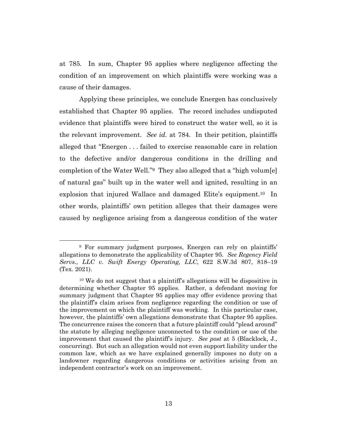at 785. In sum, Chapter 95 applies where negligence affecting the condition of an improvement on which plaintiffs were working was a cause of their damages.

Applying these principles, we conclude Energen has conclusively established that Chapter 95 applies. The record includes undisputed evidence that plaintiffs were hired to construct the water well, so it is the relevant improvement. *See id.* at 784. In their petition, plaintiffs alleged that "Energen . . . failed to exercise reasonable care in relation to the defective and/or dangerous conditions in the drilling and completion of the Water Well."9 They also alleged that a "high volum[e] of natural gas" built up in the water well and ignited, resulting in an explosion that injured Wallace and damaged Elite's equipment.10 In other words, plaintiffs' own petition alleges that their damages were caused by negligence arising from a dangerous condition of the water

<sup>9</sup> For summary judgment purposes, Energen can rely on plaintiffs' allegations to demonstrate the applicability of Chapter 95. *See Regency Field Servs., LLC v. Swift Energy Operating, LLC*, 622 S.W.3d 807, 818–19 (Tex. 2021).

<sup>10</sup> We do not suggest that a plaintiff's allegations will be dispositive in determining whether Chapter 95 applies. Rather, a defendant moving for summary judgment that Chapter 95 applies may offer evidence proving that the plaintiff's claim arises from negligence regarding the condition or use of the improvement on which the plaintiff was working. In this particular case, however, the plaintiffs' own allegations demonstrate that Chapter 95 applies. The concurrence raises the concern that a future plaintiff could "plead around" the statute by alleging negligence unconnected to the condition or use of the improvement that caused the plaintiff's injury. *See post* at 5 (Blacklock, J., concurring). But such an allegation would not even support liability under the common law, which as we have explained generally imposes no duty on a landowner regarding dangerous conditions or activities arising from an independent contractor's work on an improvement.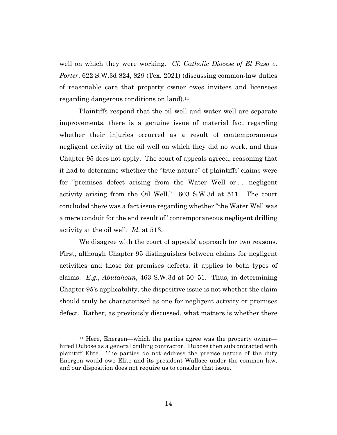well on which they were working. *Cf. Catholic Diocese of El Paso v. Porter*, 622 S.W.3d 824, 829 (Tex. 2021) (discussing common-law duties of reasonable care that property owner owes invitees and licensees regarding dangerous conditions on land).<sup>11</sup>

Plaintiffs respond that the oil well and water well are separate improvements, there is a genuine issue of material fact regarding whether their injuries occurred as a result of contemporaneous negligent activity at the oil well on which they did no work, and thus Chapter 95 does not apply. The court of appeals agreed, reasoning that it had to determine whether the "true nature" of plaintiffs' claims were for "premises defect arising from the Water Well or . . . negligent activity arising from the Oil Well." 603 S.W.3d at 511. The court concluded there was a fact issue regarding whether "the Water Well was a mere conduit for the end result of" contemporaneous negligent drilling activity at the oil well. *Id.* at 513.

We disagree with the court of appeals' approach for two reasons. First, although Chapter 95 distinguishes between claims for negligent activities and those for premises defects, it applies to both types of claims. *E.g.*, *Abutahoun*, 463 S.W.3d at 50–51. Thus, in determining Chapter 95's applicability, the dispositive issue is not whether the claim should truly be characterized as one for negligent activity or premises defect. Rather, as previously discussed, what matters is whether there

<sup>11</sup> Here, Energen—which the parties agree was the property owner hired Dubose as a general drilling contractor. Dubose then subcontracted with plaintiff Elite. The parties do not address the precise nature of the duty Energen would owe Elite and its president Wallace under the common law, and our disposition does not require us to consider that issue.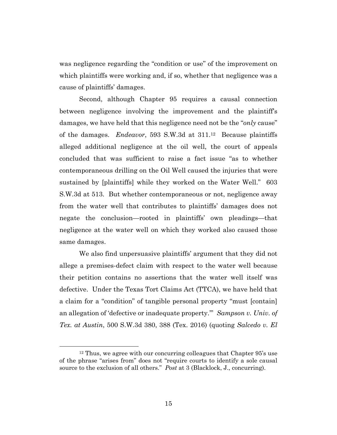was negligence regarding the "condition or use" of the improvement on which plaintiffs were working and, if so, whether that negligence was a cause of plaintiffs' damages.

Second, although Chapter 95 requires a causal connection between negligence involving the improvement and the plaintiff's damages, we have held that this negligence need not be the "*only* cause" of the damages. *Endeavor*, 593 S.W.3d at 311.12 Because plaintiffs alleged additional negligence at the oil well, the court of appeals concluded that was sufficient to raise a fact issue "as to whether contemporaneous drilling on the Oil Well caused the injuries that were sustained by [plaintiffs] while they worked on the Water Well." 603 S.W.3d at 513. But whether contemporaneous or not, negligence away from the water well that contributes to plaintiffs' damages does not negate the conclusion—rooted in plaintiffs' own pleadings—that negligence at the water well on which they worked also caused those same damages.

We also find unpersuasive plaintiffs' argument that they did not allege a premises-defect claim with respect to the water well because their petition contains no assertions that the water well itself was defective. Under the Texas Tort Claims Act (TTCA), we have held that a claim for a "condition" of tangible personal property "must [contain] an allegation of 'defective or inadequate property.'" *Sampson v. Univ. of Tex. at Austin*, 500 S.W.3d 380, 388 (Tex. 2016) (quoting *Salcedo v. El* 

<sup>&</sup>lt;sup>12</sup> Thus, we agree with our concurring colleagues that Chapter 95's use of the phrase "arises from" does not "require courts to identify a sole causal source to the exclusion of all others." *Post* at 3 (Blacklock, J., concurring).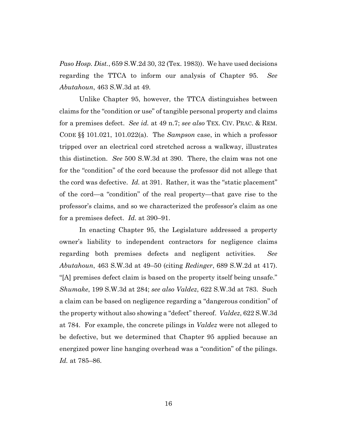*Paso Hosp. Dist.*, 659 S.W.2d 30, 32 (Tex. 1983)). We have used decisions regarding the TTCA to inform our analysis of Chapter 95. *See Abutahoun*, 463 S.W.3d at 49.

Unlike Chapter 95, however, the TTCA distinguishes between claims for the "condition or use" of tangible personal property and claims for a premises defect. *See id.* at 49 n.7; *see also* TEX. CIV. PRAC. & REM. CODE §§ 101.021, 101.022(a). The *Sampson* case, in which a professor tripped over an electrical cord stretched across a walkway, illustrates this distinction. *See* 500 S.W.3d at 390. There, the claim was not one for the "condition" of the cord because the professor did not allege that the cord was defective. *Id.* at 391. Rather, it was the "static placement" of the cord—a "condition" of the real property—that gave rise to the professor's claims, and so we characterized the professor's claim as one for a premises defect. *Id.* at 390–91.

In enacting Chapter 95, the Legislature addressed a property owner's liability to independent contractors for negligence claims regarding both premises defects and negligent activities. *See Abutahoun*, 463 S.W.3d at 49–50 (citing *Redinger*, 689 S.W.2d at 417). "[A] premises defect claim is based on the property itself being unsafe." *Shumake*, 199 S.W.3d at 284; *see also Valdez*, 622 S.W.3d at 783. Such a claim can be based on negligence regarding a "dangerous condition" of the property without also showing a "defect" thereof. *Valdez*, 622 S.W.3d at 784. For example, the concrete pilings in *Valdez* were not alleged to be defective, but we determined that Chapter 95 applied because an energized power line hanging overhead was a "condition" of the pilings. *Id.* at 785–86.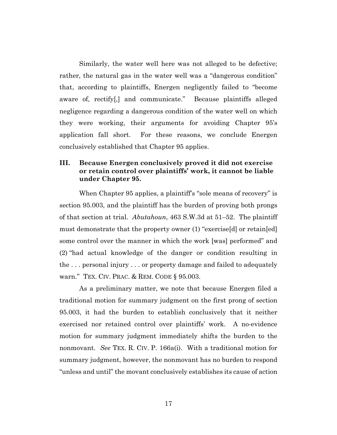Similarly, the water well here was not alleged to be defective; rather, the natural gas in the water well was a "dangerous condition" that, according to plaintiffs, Energen negligently failed to "become aware of, rectify[,] and communicate." Because plaintiffs alleged negligence regarding a dangerous condition of the water well on which they were working, their arguments for avoiding Chapter 95's application fall short. For these reasons, we conclude Energen conclusively established that Chapter 95 applies.

# **III. Because Energen conclusively proved it did not exercise or retain control over plaintiffs' work, it cannot be liable under Chapter 95.**

When Chapter 95 applies, a plaintiff's "sole means of recovery" is section 95.003, and the plaintiff has the burden of proving both prongs of that section at trial. *Abutahoun*, 463 S.W.3d at 51–52. The plaintiff must demonstrate that the property owner (1) "exercise[d] or retain[ed] some control over the manner in which the work [was] performed" and (2) "had actual knowledge of the danger or condition resulting in the . . . personal injury . . . or property damage and failed to adequately warn." TEX. CIV. PRAC. & REM. CODE § 95.003.

As a preliminary matter, we note that because Energen filed a traditional motion for summary judgment on the first prong of section 95.003, it had the burden to establish conclusively that it neither exercised nor retained control over plaintiffs' work. A no-evidence motion for summary judgment immediately shifts the burden to the nonmovant. *See* TEX. R. CIV. P. 166a(i). With a traditional motion for summary judgment, however, the nonmovant has no burden to respond "unless and until" the movant conclusively establishes its cause of action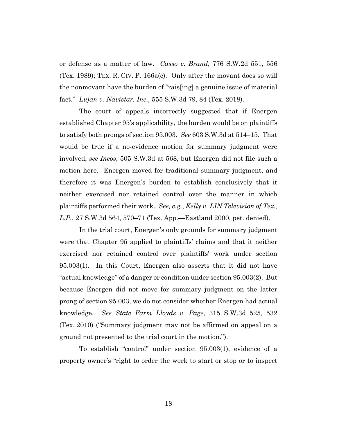or defense as a matter of law. *Casso v. Brand*, 776 S.W.2d 551, 556 (Tex. 1989); TEX. R. CIV. P. 166a(c). Only after the movant does so will the nonmovant have the burden of "rais[ing] a genuine issue of material fact." *Lujan v. Navistar, Inc.*, 555 S.W.3d 79, 84 (Tex. 2018).

The court of appeals incorrectly suggested that if Energen established Chapter 95's applicability, the burden would be on plaintiffs to satisfy both prongs of section 95.003. *See* 603 S.W.3d at 514–15. That would be true if a no-evidence motion for summary judgment were involved, *see Ineos*, 505 S.W.3d at 568, but Energen did not file such a motion here. Energen moved for traditional summary judgment, and therefore it was Energen's burden to establish conclusively that it neither exercised nor retained control over the manner in which plaintiffs performed their work. *See, e.g.*, *Kelly v. LIN Television of Tex., L.P.*, 27 S.W.3d 564, 570–71 (Tex. App.—Eastland 2000, pet. denied).

In the trial court, Energen's only grounds for summary judgment were that Chapter 95 applied to plaintiffs' claims and that it neither exercised nor retained control over plaintiffs' work under section 95.003(1). In this Court, Energen also asserts that it did not have "actual knowledge" of a danger or condition under section 95.003(2). But because Energen did not move for summary judgment on the latter prong of section 95.003, we do not consider whether Energen had actual knowledge. *See State Farm Lloyds v. Page*, 315 S.W.3d 525, 532 (Tex. 2010) ("Summary judgment may not be affirmed on appeal on a ground not presented to the trial court in the motion.").

To establish "control" under section 95.003(1), evidence of a property owner's "right to order the work to start or stop or to inspect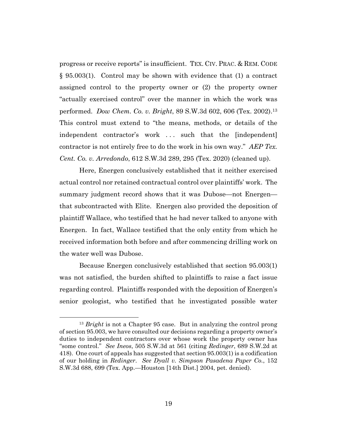progress or receive reports" is insufficient. TEX. CIV. PRAC. & REM. CODE § 95.003(1). Control may be shown with evidence that (1) a contract assigned control to the property owner or (2) the property owner "actually exercised control" over the manner in which the work was performed. *Dow Chem. Co. v. Bright*, 89 S.W.3d 602, 606 (Tex. 2002).13 This control must extend to "the means, methods, or details of the independent contractor's work . . . such that the [independent] contractor is not entirely free to do the work in his own way." *AEP Tex. Cent. Co. v. Arredondo*, 612 S.W.3d 289, 295 (Tex. 2020) (cleaned up).

Here, Energen conclusively established that it neither exercised actual control nor retained contractual control over plaintiffs' work. The summary judgment record shows that it was Dubose—not Energen that subcontracted with Elite. Energen also provided the deposition of plaintiff Wallace, who testified that he had never talked to anyone with Energen. In fact, Wallace testified that the only entity from which he received information both before and after commencing drilling work on the water well was Dubose.

Because Energen conclusively established that section 95.003(1) was not satisfied, the burden shifted to plaintiffs to raise a fact issue regarding control. Plaintiffs responded with the deposition of Energen's senior geologist, who testified that he investigated possible water

<sup>13</sup> *Bright* is not a Chapter 95 case. But in analyzing the control prong of section 95.003, we have consulted our decisions regarding a property owner's duties to independent contractors over whose work the property owner has "some control." *See Ineos*, 505 S.W.3d at 561 (citing *Redinger*, 689 S.W.2d at 418). One court of appeals has suggested that section 95.003(1) is a codification of our holding in *Redinger*. *See Dyall v. Simpson Pasadena Paper Co.*, 152 S.W.3d 688, 699 (Tex. App.—Houston [14th Dist.] 2004, pet. denied).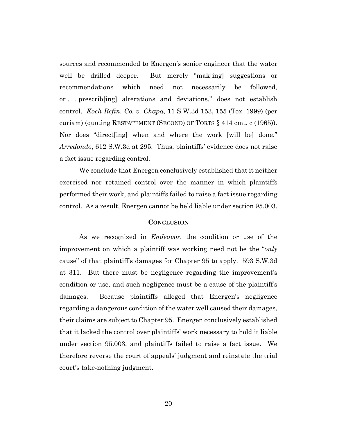sources and recommended to Energen's senior engineer that the water well be drilled deeper. But merely "mak[ing] suggestions or recommendations which need not necessarily be followed, or . . . prescrib[ing] alterations and deviations," does not establish control. *Koch Refin. Co. v. Chapa*, 11 S.W.3d 153, 155 (Tex. 1999) (per curiam) (quoting RESTATEMENT (SECOND) OF TORTS § 414 cmt. c (1965)). Nor does "direct[ing] when and where the work [will be] done." *Arredondo*, 612 S.W.3d at 295. Thus, plaintiffs' evidence does not raise a fact issue regarding control.

We conclude that Energen conclusively established that it neither exercised nor retained control over the manner in which plaintiffs performed their work, and plaintiffs failed to raise a fact issue regarding control. As a result, Energen cannot be held liable under section 95.003.

#### **CONCLUSION**

As we recognized in *Endeavor*, the condition or use of the improvement on which a plaintiff was working need not be the "*only* cause" of that plaintiff's damages for Chapter 95 to apply. 593 S.W.3d at 311. But there must be negligence regarding the improvement's condition or use, and such negligence must be a cause of the plaintiff's damages. Because plaintiffs alleged that Energen's negligence regarding a dangerous condition of the water well caused their damages, their claims are subject to Chapter 95. Energen conclusively established that it lacked the control over plaintiffs' work necessary to hold it liable under section 95.003, and plaintiffs failed to raise a fact issue. We therefore reverse the court of appeals' judgment and reinstate the trial court's take-nothing judgment.